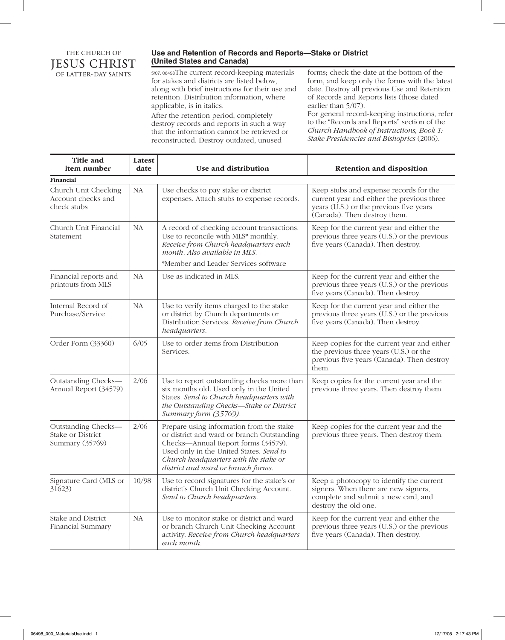## **Use and Retention of Records and Reports—Stake or District (United States and Canada)**

5/07. 06498The current record-keeping materials for stakes and districts are listed below, along with brief instructions for their use and retention. Distribution information, where applicable, is in italics.

After the retention period, completely destroy records and reports in such a way that the information cannot be retrieved or reconstructed. Destroy outdated, unused

forms; check the date at the bottom of the form, and keep only the forms with the latest date. Destroy all previous Use and Retention of Records and Reports lists (those dated earlier than 5/07).

For general record-keeping instructions, refer to the "Records and Reports" section of the *Church Handbook of Instructions, Book 1: Stake Presidencies and Bishoprics* (2006).

| <b>Title and</b><br>item number                             | Latest<br>date | Use and distribution                                                                                                                                                                                                                                    | <b>Retention and disposition</b>                                                                                                                                |
|-------------------------------------------------------------|----------------|---------------------------------------------------------------------------------------------------------------------------------------------------------------------------------------------------------------------------------------------------------|-----------------------------------------------------------------------------------------------------------------------------------------------------------------|
| Financial                                                   |                |                                                                                                                                                                                                                                                         |                                                                                                                                                                 |
| Church Unit Checking<br>Account checks and<br>check stubs   | ${\rm NA}$     | Use checks to pay stake or district<br>expenses. Attach stubs to expense records.                                                                                                                                                                       | Keep stubs and expense records for the<br>current year and either the previous three<br>years (U.S.) or the previous five years<br>(Canada). Then destroy them. |
| Church Unit Financial<br>Statement                          | <b>NA</b>      | A record of checking account transactions.<br>Use to reconcile with MLS* monthly.<br>Receive from Church headquarters each<br>month. Also available in MLS.                                                                                             | Keep for the current year and either the<br>previous three years (U.S.) or the previous<br>five years (Canada). Then destroy.                                   |
|                                                             |                | *Member and Leader Services software                                                                                                                                                                                                                    |                                                                                                                                                                 |
| Financial reports and<br>printouts from MLS                 | NA             | Use as indicated in MLS.                                                                                                                                                                                                                                | Keep for the current year and either the<br>previous three years (U.S.) or the previous<br>five years (Canada). Then destroy.                                   |
| Internal Record of<br>Purchase/Service                      | NA             | Use to verify items charged to the stake<br>or district by Church departments or<br>Distribution Services. Receive from Church<br>headquarters.                                                                                                         | Keep for the current year and either the<br>previous three years (U.S.) or the previous<br>five years (Canada). Then destroy.                                   |
| Order Form (33360)                                          | 6/05           | Use to order items from Distribution<br>Services.                                                                                                                                                                                                       | Keep copies for the current year and either<br>the previous three years (U.S.) or the<br>previous five years (Canada). Then destroy<br>them.                    |
| Outstanding Checks-<br>Annual Report (34579)                | 2/06           | Use to report outstanding checks more than<br>six months old. Used only in the United<br>States. Send to Church headquarters with<br>the Outstanding Checks-Stake or District<br>Summary form (35769).                                                  | Keep copies for the current year and the<br>previous three years. Then destroy them.                                                                            |
| Outstanding Checks-<br>Stake or District<br>Summary (35769) | 2/06           | Prepare using information from the stake<br>or district and ward or branch Outstanding<br>Checks-Annual Report forms (34579).<br>Used only in the United States. Send to<br>Church headquarters with the stake or<br>district and ward or branch forms. | Keep copies for the current year and the<br>previous three years. Then destroy them.                                                                            |
| Signature Card (MLS or<br>31623)                            | 10/98          | Use to record signatures for the stake's or<br>district's Church Unit Checking Account.<br>Send to Church headquarters.                                                                                                                                 | Keep a photocopy to identify the current<br>signers. When there are new signers,<br>complete and submit a new card, and<br>destroy the old one.                 |
| Stake and District<br>Financial Summary                     | NA             | Use to monitor stake or district and ward<br>or branch Church Unit Checking Account<br>activity. Receive from Church headquarters<br>each month.                                                                                                        | Keep for the current year and either the<br>previous three years (U.S.) or the previous<br>five years (Canada). Then destroy.                                   |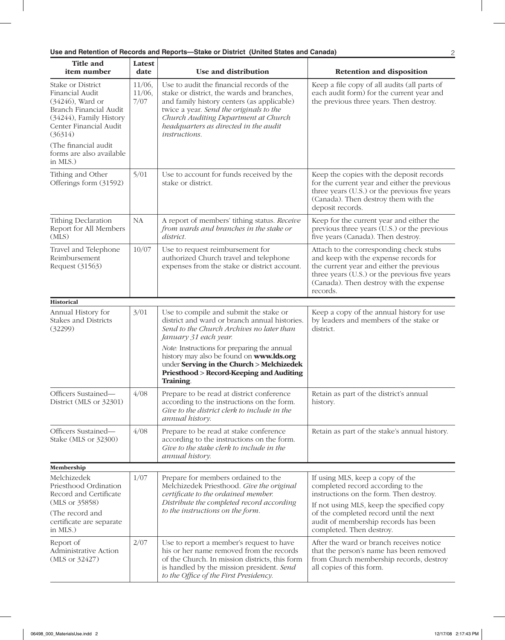| Use and Retention of Records and Reports—Stake or District (United States and Canada) |  |
|---------------------------------------------------------------------------------------|--|
|---------------------------------------------------------------------------------------|--|

| <b>Title and</b><br>item number                                                                                                                                                                           | Latest<br>date           | Use and distribution                                                                                                                                                                                                                                                                                  | <b>Retention and disposition</b>                                                                                                                                                                                                                                            |
|-----------------------------------------------------------------------------------------------------------------------------------------------------------------------------------------------------------|--------------------------|-------------------------------------------------------------------------------------------------------------------------------------------------------------------------------------------------------------------------------------------------------------------------------------------------------|-----------------------------------------------------------------------------------------------------------------------------------------------------------------------------------------------------------------------------------------------------------------------------|
| Stake or District<br>Financial Audit<br>$(34246)$ , Ward or<br>Branch Financial Audit<br>(34244), Family History<br>Center Financial Audit<br>(36314)<br>(The financial audit<br>forms are also available | 11/06,<br>11/06,<br>7/07 | Use to audit the financial records of the<br>stake or district, the wards and branches,<br>and family history centers (as applicable)<br>twice a year. Send the originals to the<br>Church Auditing Department at Church<br>headquarters as directed in the audit<br>instructions.                    | Keep a file copy of all audits (all parts of<br>each audit form) for the current year and<br>the previous three years. Then destroy.                                                                                                                                        |
| in MLS.)                                                                                                                                                                                                  |                          |                                                                                                                                                                                                                                                                                                       |                                                                                                                                                                                                                                                                             |
| Tithing and Other<br>Offerings form (31592)                                                                                                                                                               | 5/01                     | Use to account for funds received by the<br>stake or district.                                                                                                                                                                                                                                        | Keep the copies with the deposit records<br>for the current year and either the previous<br>three years (U.S.) or the previous five years<br>(Canada). Then destroy them with the<br>deposit records.                                                                       |
| <b>Tithing Declaration</b><br>Report for All Members<br>(MLS)                                                                                                                                             | NA                       | A report of members' tithing status. Receive<br>from wards and branches in the stake or<br>district.                                                                                                                                                                                                  | Keep for the current year and either the<br>previous three years (U.S.) or the previous<br>five years (Canada). Then destroy.                                                                                                                                               |
| Travel and Telephone<br>Reimbursement<br>Request (31563)                                                                                                                                                  | 10/07                    | Use to request reimbursement for<br>authorized Church travel and telephone<br>expenses from the stake or district account.                                                                                                                                                                            | Attach to the corresponding check stubs<br>and keep with the expense records for<br>the current year and either the previous<br>three years (U.S.) or the previous five years<br>(Canada). Then destroy with the expense<br>records.                                        |
| Historical                                                                                                                                                                                                |                          |                                                                                                                                                                                                                                                                                                       |                                                                                                                                                                                                                                                                             |
| Annual History for<br><b>Stakes and Districts</b><br>(32299)                                                                                                                                              | 3/01                     | Use to compile and submit the stake or<br>district and ward or branch annual histories.<br>Send to the Church Archives no later than<br>January 31 each year.<br>Note: Instructions for preparing the annual<br>history may also be found on www.lds.org<br>under Serving in the Church > Melchizedek | Keep a copy of the annual history for use<br>by leaders and members of the stake or<br>district.                                                                                                                                                                            |
|                                                                                                                                                                                                           |                          | Priesthood > Record-Keeping and Auditing<br>Training.                                                                                                                                                                                                                                                 |                                                                                                                                                                                                                                                                             |
| Officers Sustained-<br>District (MLS or 32301)                                                                                                                                                            | 4/08                     | Prepare to be read at district conference<br>according to the instructions on the form.<br>Give to the district clerk to include in the<br><i>annual history.</i>                                                                                                                                     | Retain as part of the district's annual<br>history.                                                                                                                                                                                                                         |
| Officers Sustained-<br>Stake (MLS or 32300)                                                                                                                                                               | 4/08                     | Prepare to be read at stake conference<br>according to the instructions on the form.<br>Give to the stake clerk to include in the<br>annual history.                                                                                                                                                  | Retain as part of the stake's annual history.                                                                                                                                                                                                                               |
| Membership                                                                                                                                                                                                |                          |                                                                                                                                                                                                                                                                                                       |                                                                                                                                                                                                                                                                             |
| Melchizedek<br>Priesthood Ordination<br>Record and Certificate<br>(MLS or 35858)<br>(The record and<br>certificate are separate<br>in MLS.)                                                               | 1/07                     | Prepare for members ordained to the<br>Melchizedek Priesthood. Give the original<br>certificate to the ordained member.<br>Distribute the completed record according<br>to the instructions on the form.                                                                                              | If using MLS, keep a copy of the<br>completed record according to the<br>instructions on the form. Then destroy.<br>If not using MLS, keep the specified copy<br>of the completed record until the next<br>audit of membership records has been<br>completed. Then destroy. |
| Report of<br>Administrative Action<br>(MLS or 32427)                                                                                                                                                      | 2/07                     | Use to report a member's request to have<br>his or her name removed from the records<br>of the Church. In mission districts, this form<br>is handled by the mission president. Send<br>to the Office of the First Presidency.                                                                         | After the ward or branch receives notice<br>that the person's name has been removed<br>from Church membership records, destroy<br>all copies of this form.                                                                                                                  |

 $\mathbf{I}$